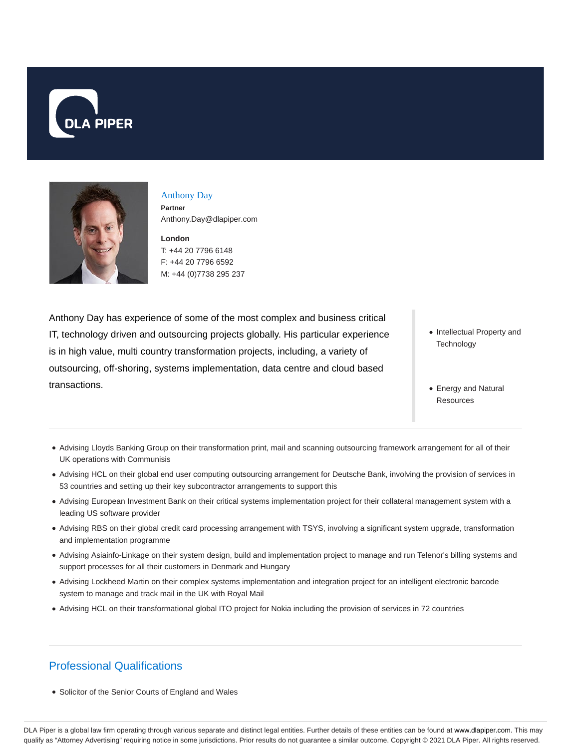



# Anthony Day **Partner**

Anthony.Day@dlapiper.com

**London** T: +44 20 7796 6148 F: +44 20 7796 6592 M: +44 (0)7738 295 237

Anthony Day has experience of some of the most complex and business critical IT, technology driven and outsourcing projects globally. His particular experience is in high value, multi country transformation projects, including, a variety of outsourcing, off-shoring, systems implementation, data centre and cloud based transactions.

- Intellectual Property and **Technology**
- Energy and Natural **Resources**
- Advising Lloyds Banking Group on their transformation print, mail and scanning outsourcing framework arrangement for all of their UK operations with Communisis
- Advising HCL on their global end user computing outsourcing arrangement for Deutsche Bank, involving the provision of services in 53 countries and setting up their key subcontractor arrangements to support this
- Advising European Investment Bank on their critical systems implementation project for their collateral management system with a leading US software provider
- Advising RBS on their global credit card processing arrangement with TSYS, involving a significant system upgrade, transformation and implementation programme
- Advising Asiainfo-Linkage on their system design, build and implementation project to manage and run Telenor's billing systems and support processes for all their customers in Denmark and Hungary
- Advising Lockheed Martin on their complex systems implementation and integration project for an intelligent electronic barcode system to manage and track mail in the UK with Royal Mail
- Advising HCL on their transformational global ITO project for Nokia including the provision of services in 72 countries

# Professional Qualifications

• Solicitor of the Senior Courts of England and Wales

DLA Piper is a global law firm operating through various separate and distinct legal entities. Further details of these entities can be found at www.dlapiper.com. This may qualify as "Attorney Advertising" requiring notice in some jurisdictions. Prior results do not guarantee a similar outcome. Copyright @ 2021 DLA Piper. All rights reserved.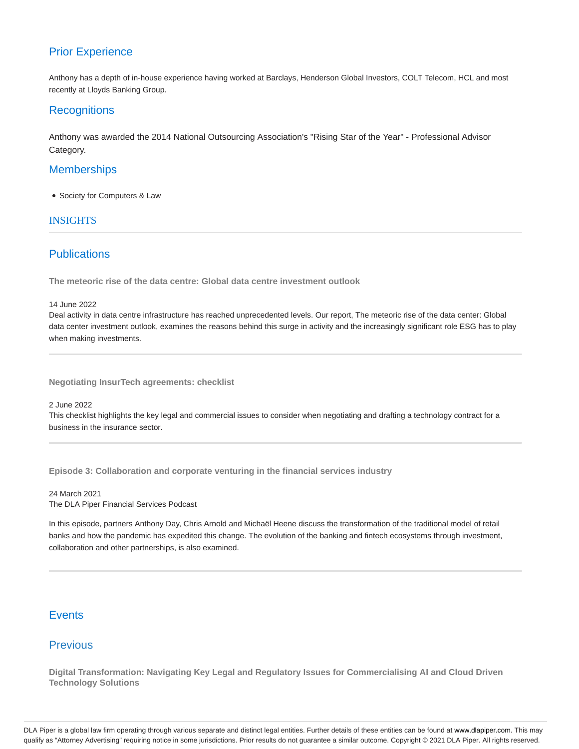## Prior Experience

Anthony has a depth of in-house experience having worked at Barclays, Henderson Global Investors, COLT Telecom, HCL and most recently at Lloyds Banking Group.

### **Recognitions**

Anthony was awarded the 2014 National Outsourcing Association's "Rising Star of the Year" - Professional Advisor Category.

## **Memberships**

Society for Computers & Law

#### INSIGHTS

## **Publications**

**The meteoric rise of the data centre: Global data centre investment outlook**

14 June 2022

Deal activity in data centre infrastructure has reached unprecedented levels. Our report, The meteoric rise of the data center: Global data center investment outlook, examines the reasons behind this surge in activity and the increasingly significant role ESG has to play when making investments.

**Negotiating InsurTech agreements: checklist**

2 June 2022

This checklist highlights the key legal and commercial issues to consider when negotiating and drafting a technology contract for a business in the insurance sector.

**Episode 3: Collaboration and corporate venturing in the financial services industry**

24 March 2021 The DLA Piper Financial Services Podcast

In this episode, partners Anthony Day, Chris Arnold and Michaël Heene discuss the transformation of the traditional model of retail banks and how the pandemic has expedited this change. The evolution of the banking and fintech ecosystems through investment, collaboration and other partnerships, is also examined.

## **Events**

## Previous

**Digital Transformation: Navigating Key Legal and Regulatory Issues for Commercialising AI and Cloud Driven Technology Solutions**

DLA Piper is a global law firm operating through various separate and distinct legal entities. Further details of these entities can be found at www.dlapiper.com. This may qualify as "Attorney Advertising" requiring notice in some jurisdictions. Prior results do not guarantee a similar outcome. Copyright @ 2021 DLA Piper. All rights reserved.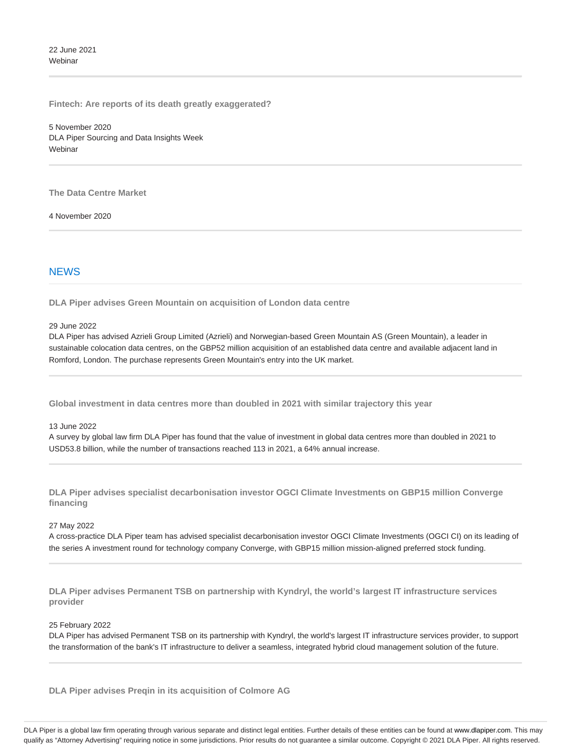22 June 2021 **Webinar** 

**Fintech: Are reports of its death greatly exaggerated?**

5 November 2020 DLA Piper Sourcing and Data Insights Week Webinar

**The Data Centre Market**

4 November 2020

#### **NEWS**

**DLA Piper advises Green Mountain on acquisition of London data centre**

29 June 2022

DLA Piper has advised Azrieli Group Limited (Azrieli) and Norwegian-based Green Mountain AS (Green Mountain), a leader in sustainable colocation data centres, on the GBP52 million acquisition of an established data centre and available adjacent land in Romford, London. The purchase represents Green Mountain's entry into the UK market.

**Global investment in data centres more than doubled in 2021 with similar trajectory this year**

13 June 2022

A survey by global law firm DLA Piper has found that the value of investment in global data centres more than doubled in 2021 to USD53.8 billion, while the number of transactions reached 113 in 2021, a 64% annual increase.

**DLA Piper advises specialist decarbonisation investor OGCI Climate Investments on GBP15 million Converge financing**

#### 27 May 2022

A cross-practice DLA Piper team has advised specialist decarbonisation investor OGCI Climate Investments (OGCI CI) on its leading of the series A investment round for technology company Converge, with GBP15 million mission-aligned preferred stock funding.

**DLA Piper advises Permanent TSB on partnership with Kyndryl, the world's largest IT infrastructure services provider**

#### 25 February 2022

DLA Piper has advised Permanent TSB on its partnership with Kyndryl, the world's largest IT infrastructure services provider, to support the transformation of the bank's IT infrastructure to deliver a seamless, integrated hybrid cloud management solution of the future.

**DLA Piper advises Preqin in its acquisition of Colmore AG**

DLA Piper is a global law firm operating through various separate and distinct legal entities. Further details of these entities can be found at www.dlapiper.com. This may qualify as "Attorney Advertising" requiring notice in some jurisdictions. Prior results do not guarantee a similar outcome. Copyright @ 2021 DLA Piper. All rights reserved.